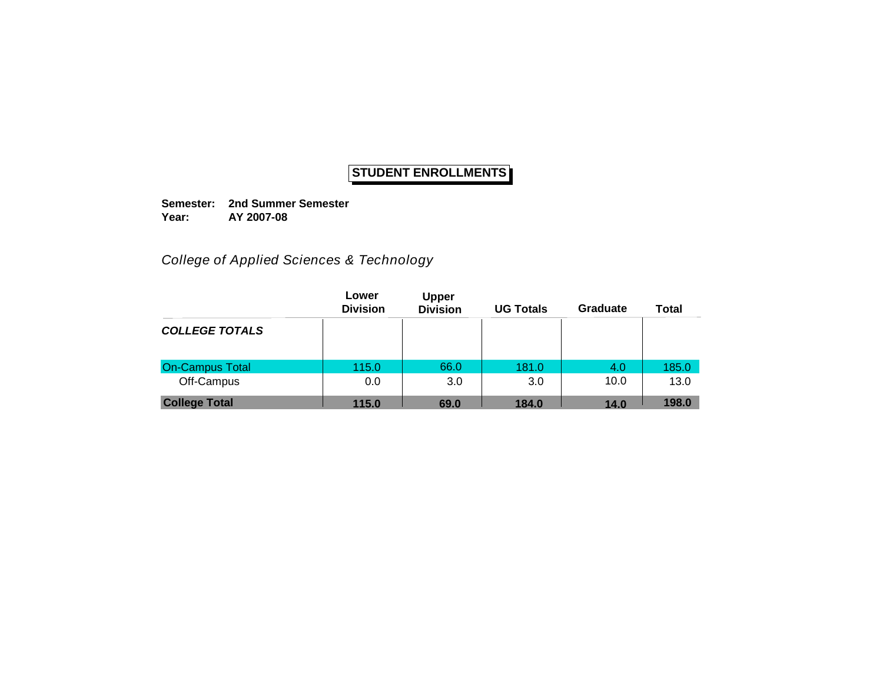**Semester: 2nd Summer Semester Year: AY 2007-08**

*College of Applied Sciences & Technology*

|                        | Lower<br><b>Division</b> | <b>Upper</b><br><b>Division</b> | <b>UG Totals</b> | Graduate | <b>Total</b> |
|------------------------|--------------------------|---------------------------------|------------------|----------|--------------|
| <b>COLLEGE TOTALS</b>  |                          |                                 |                  |          |              |
| <b>On-Campus Total</b> | 115.0                    | 66.0                            | 181.0            | 4.0      | 185.0        |
| Off-Campus             | 0.0                      | 3.0                             | 3.0              | 10.0     | 13.0         |
| <b>College Total</b>   | 115.0                    | 69.0                            | 184.0            | 14.0     | 198.0        |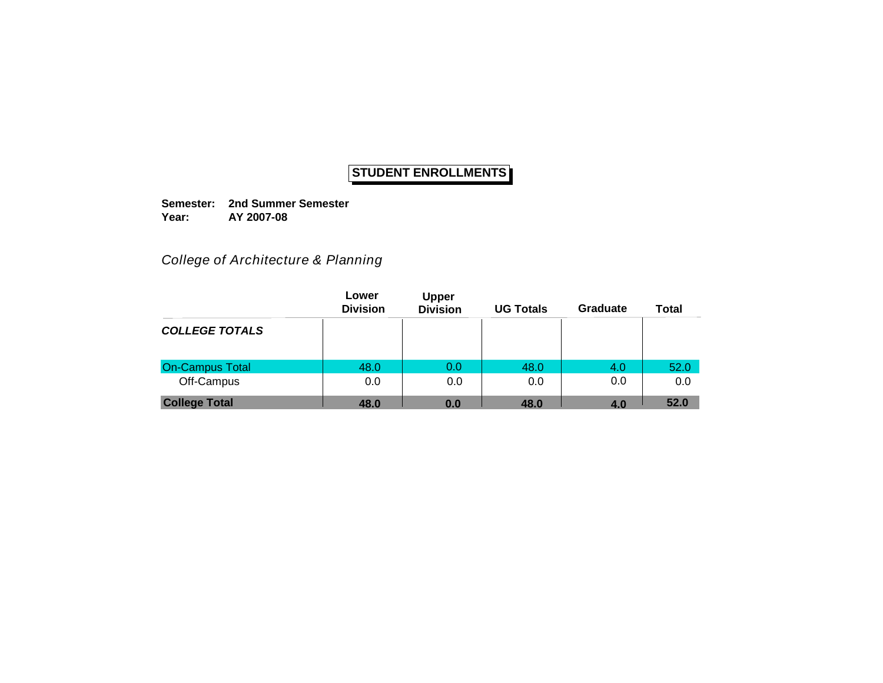**Semester: 2nd Summer Semester Year: AY 2007-08**

## *College of Architecture & Planning*

|                        | Lower<br><b>Division</b> | <b>Upper</b><br><b>Division</b> | <b>UG Totals</b> | Graduate | Total |
|------------------------|--------------------------|---------------------------------|------------------|----------|-------|
| <b>COLLEGE TOTALS</b>  |                          |                                 |                  |          |       |
| <b>On-Campus Total</b> | 48.0                     | 0.0                             | 48.0             | 4.0      | 52.0  |
| Off-Campus             | 0.0                      | 0.0                             | 0.0              | 0.0      | 0.0   |
| <b>College Total</b>   | 48.0                     | 0.0                             | 48.0             | 4.0      | 52.0  |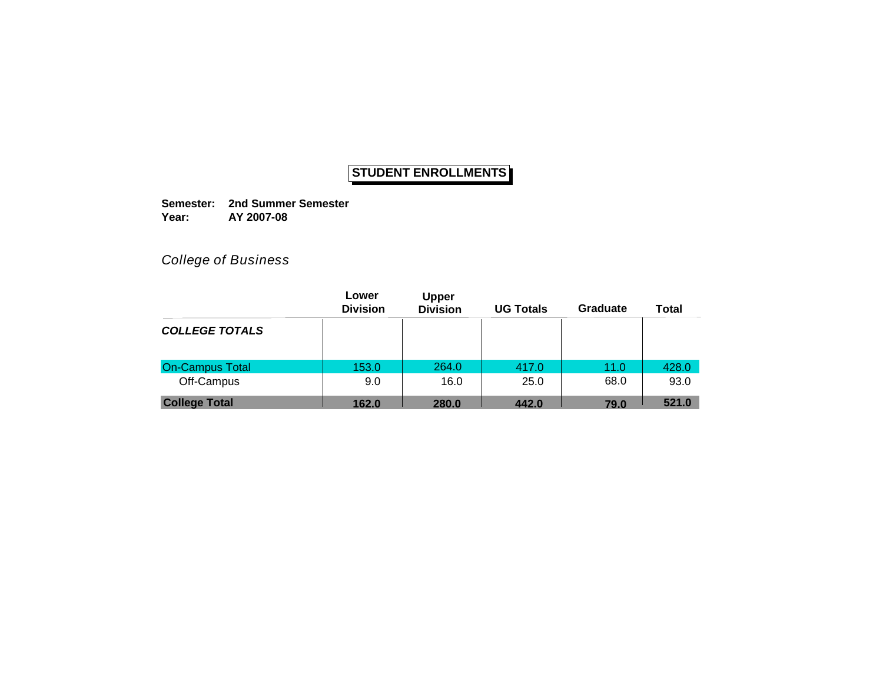**Semester: 2nd Summer Semester Year: AY 2007-08**

*College of Business*

|                        | Lower<br><b>Division</b> | <b>Upper</b><br><b>Division</b> | <b>UG Totals</b> | Graduate | <b>Total</b> |
|------------------------|--------------------------|---------------------------------|------------------|----------|--------------|
| <b>COLLEGE TOTALS</b>  |                          |                                 |                  |          |              |
| <b>On-Campus Total</b> | 153.0                    | 264.0                           | 417.0            | 11.0     | 428.0        |
| Off-Campus             | 9.0                      | 16.0                            | 25.0             | 68.0     | 93.0         |
| <b>College Total</b>   | 162.0                    | 280.0                           | 442.0            | 79.0     | 521.0        |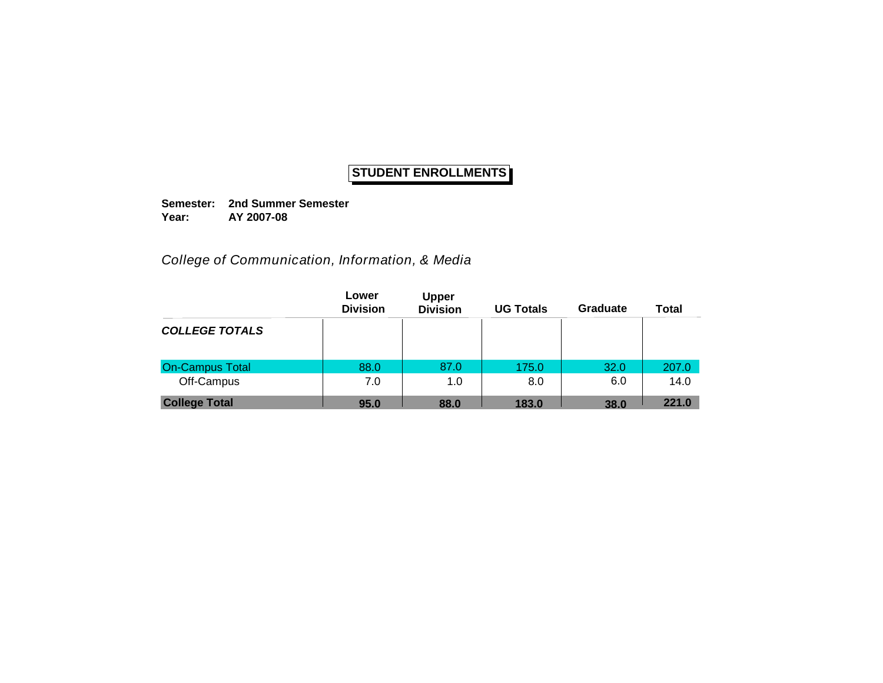**Semester: 2nd Summer Semester Year: AY 2007-08**

*College of Communication, Information, & Media*

|                        | Lower<br><b>Division</b> | <b>Upper</b><br><b>Division</b> | <b>UG Totals</b> | Graduate | <b>Total</b> |
|------------------------|--------------------------|---------------------------------|------------------|----------|--------------|
| <b>COLLEGE TOTALS</b>  |                          |                                 |                  |          |              |
| <b>On-Campus Total</b> | 88.0                     | 87.0                            | 175.0            | 32.0     | 207.0        |
| Off-Campus             | 7.0                      | 1.0                             | 8.0              | 6.0      | 14.0         |
| <b>College Total</b>   | 95.0                     | 88.0                            | 183.0            | 38.0     | 221.0        |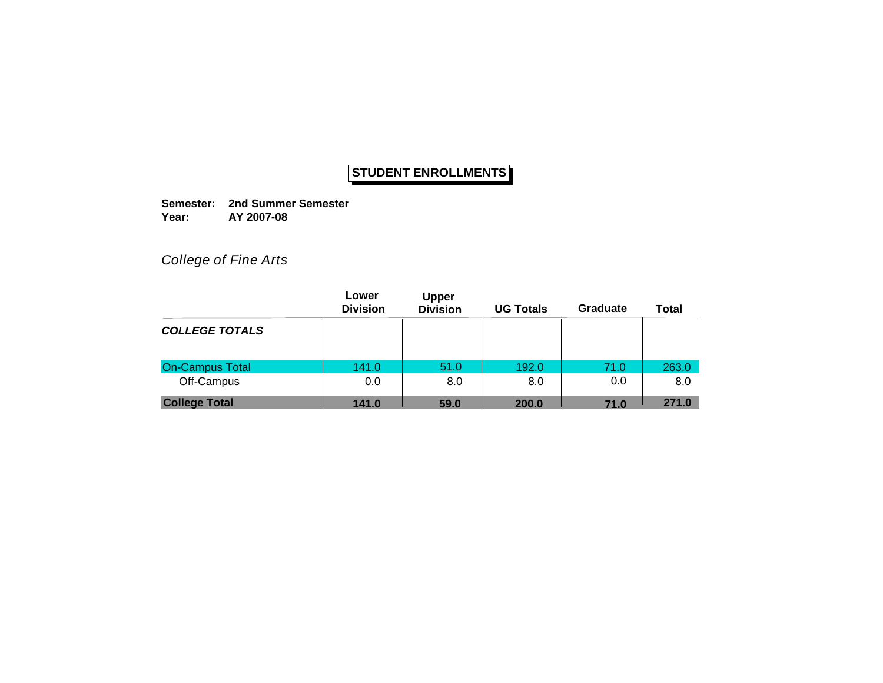**Semester: 2nd Summer Semester Year: AY 2007-08**

*College of Fine Arts*

|                        | Lower<br><b>Division</b> | <b>Upper</b><br><b>Division</b> | <b>UG Totals</b> | Graduate | <b>Total</b> |
|------------------------|--------------------------|---------------------------------|------------------|----------|--------------|
| <b>COLLEGE TOTALS</b>  |                          |                                 |                  |          |              |
| <b>On-Campus Total</b> | 141.0                    | 51.0                            | 192.0            | 71.0     | 263.0        |
| Off-Campus             | 0.0                      | 8.0                             | 8.0              | 0.0      | 8.0          |
| <b>College Total</b>   | 141.0                    | 59.0                            | 200.0            | 71.0     | 271.0        |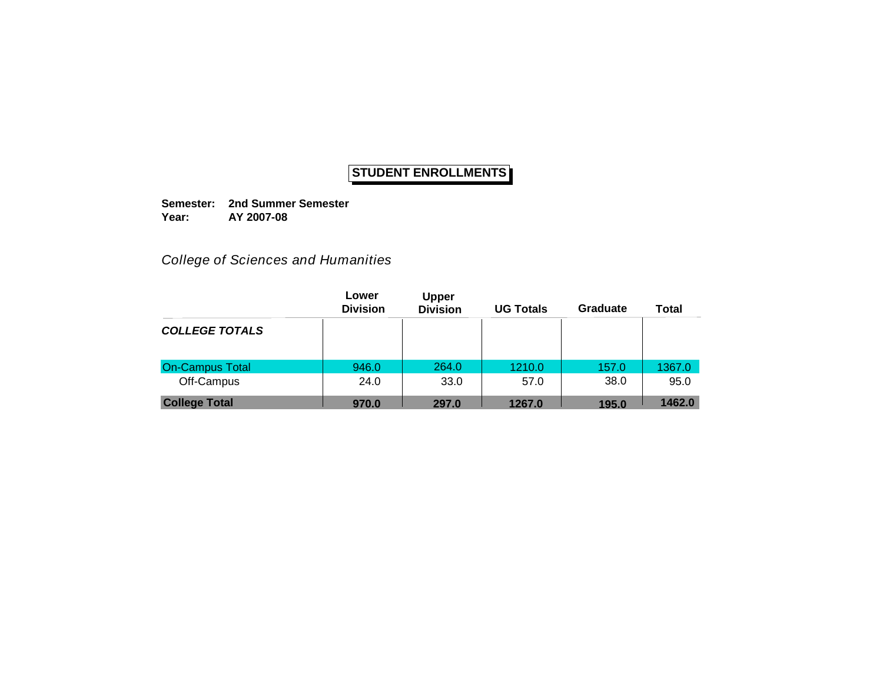**Semester: 2nd Summer Semester Year: AY 2007-08**

*College of Sciences and Humanities*

|                        | Lower<br><b>Division</b> | <b>Upper</b><br><b>Division</b> | <b>UG Totals</b> | Graduate | <b>Total</b> |
|------------------------|--------------------------|---------------------------------|------------------|----------|--------------|
| <b>COLLEGE TOTALS</b>  |                          |                                 |                  |          |              |
| <b>On-Campus Total</b> | 946.0                    | 264.0                           | 1210.0           | 157.0    | 1367.0       |
| Off-Campus             | 24.0                     | 33.0                            | 57.0             | 38.0     | 95.0         |
| <b>College Total</b>   | 970.0                    | 297.0                           | 1267.0           | 195.0    | 1462.0       |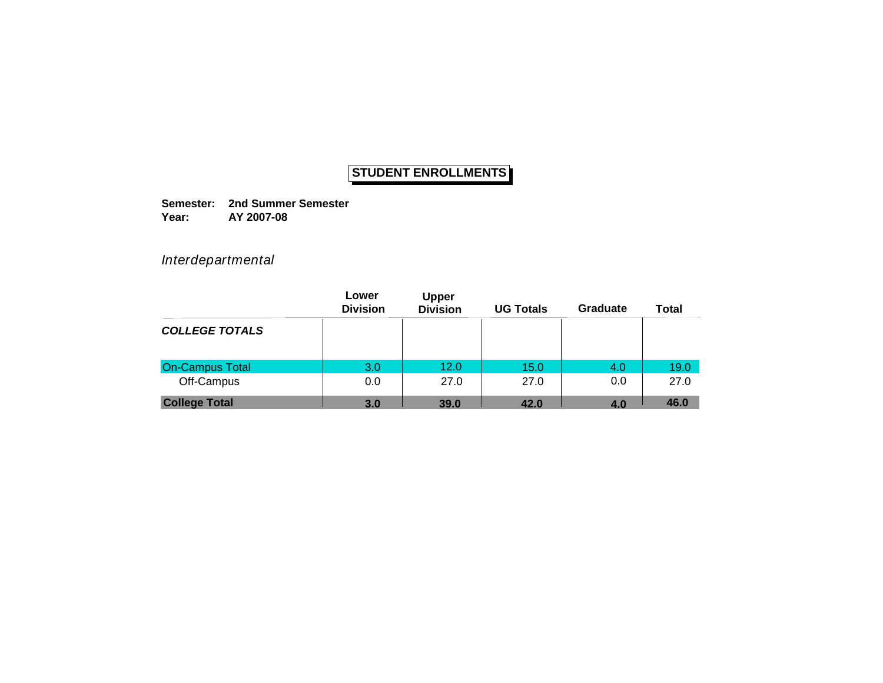**Semester: 2nd Summer Semester Year: AY 2007-08**

*Interdepartmental*

|                        | Lower<br><b>Division</b> | <b>Upper</b><br><b>Division</b> | <b>UG Totals</b> | Graduate | <b>Total</b> |
|------------------------|--------------------------|---------------------------------|------------------|----------|--------------|
| <b>COLLEGE TOTALS</b>  |                          |                                 |                  |          |              |
| <b>On-Campus Total</b> | 3.0                      | 12.0                            | 15.0             | 4.0      | 19.0         |
| Off-Campus             | 0.0                      | 27.0                            | 27.0             | 0.0      | 27.0         |
| <b>College Total</b>   | 3.0                      | 39.0                            | 42.0             | 4.0      | 46.0         |